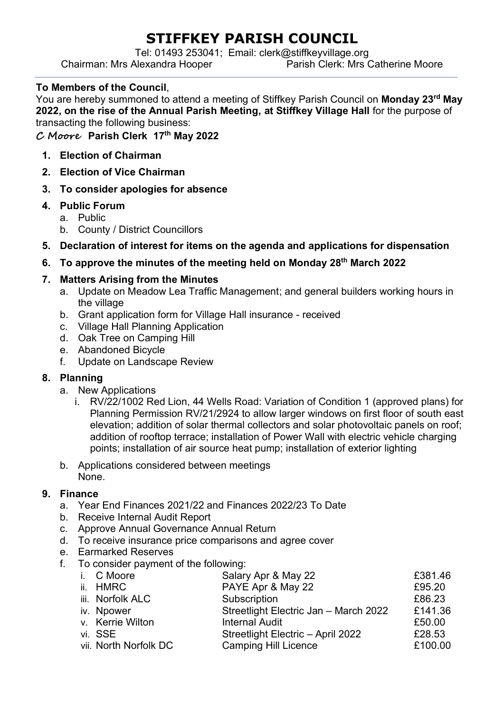# **STIFFKEY PARISH COUNCIL**

Tel: 01493 253041; Email: clerk@stiffkeyvillage.org

Chairman: Mrs Alexandra Hooper

#### **To Members of the Council**,

You are hereby summoned to attend a meeting of Stiffkey Parish Council on **Monday 23rd May 2022, on the rise of the Annual Parish Meeting, at Stiffkey Village Hall** for the purpose of transacting the following business:

**C Moore Parish Clerk 17th May 2022**

- **1. Election of Chairman**
- **2. Election of Vice Chairman**
- **3. To consider apologies for absence**
- **4. Public Forum**
	- a. Public
	- b. County / District Councillors
- **5. Declaration of interest for items on the agenda and applications for dispensation**
- **6. To approve the minutes of the meeting held on Monday 28th March 2022**

## **7. Matters Arising from the Minutes**

- a. Update on Meadow Lea Traffic Management; and general builders working hours in the village
- b. Grant application form for Village Hall insurance received
- c. Village Hall Planning Application
- d. Oak Tree on Camping Hill
- e. Abandoned Bicycle
- f. Update on Landscape Review

## **8. Planning**

- a. New Applications
	- i. RV/22/1002 Red Lion, 44 Wells Road: Variation of Condition 1 (approved plans) for Planning Permission RV/21/2924 to allow larger windows on first floor of south east elevation; addition of solar thermal collectors and solar photovoltaic panels on roof; addition of rooftop terrace; installation of Power Wall with electric vehicle charging points; installation of air source heat pump; installation of exterior lighting
- b. Applications considered between meetings None.

#### **9. Finance**

- a. Year End Finances 2021/22 and Finances 2022/23 To Date
- b. Receive Internal Audit Report
- c. Approve Annual Governance Annual Return
- d. To receive insurance price comparisons and agree cover
- e. Earmarked Reserves
- f. To consider payment of the following:

| i. C Moore            | Salary Apr & May 22                   | £381.46 |
|-----------------------|---------------------------------------|---------|
| ii. HMRC              | PAYE Apr & May 22                     | £95.20  |
| iii. Norfolk ALC      | Subscription                          | £86.23  |
| iv. Npower            | Streetlight Electric Jan - March 2022 | £141.36 |
| v. Kerrie Wilton      | <b>Internal Audit</b>                 | £50.00  |
| vi. SSE               | Streetlight Electric - April 2022     | £28.53  |
| vii. North Norfolk DC | <b>Camping Hill Licence</b>           | £100.00 |
|                       |                                       |         |